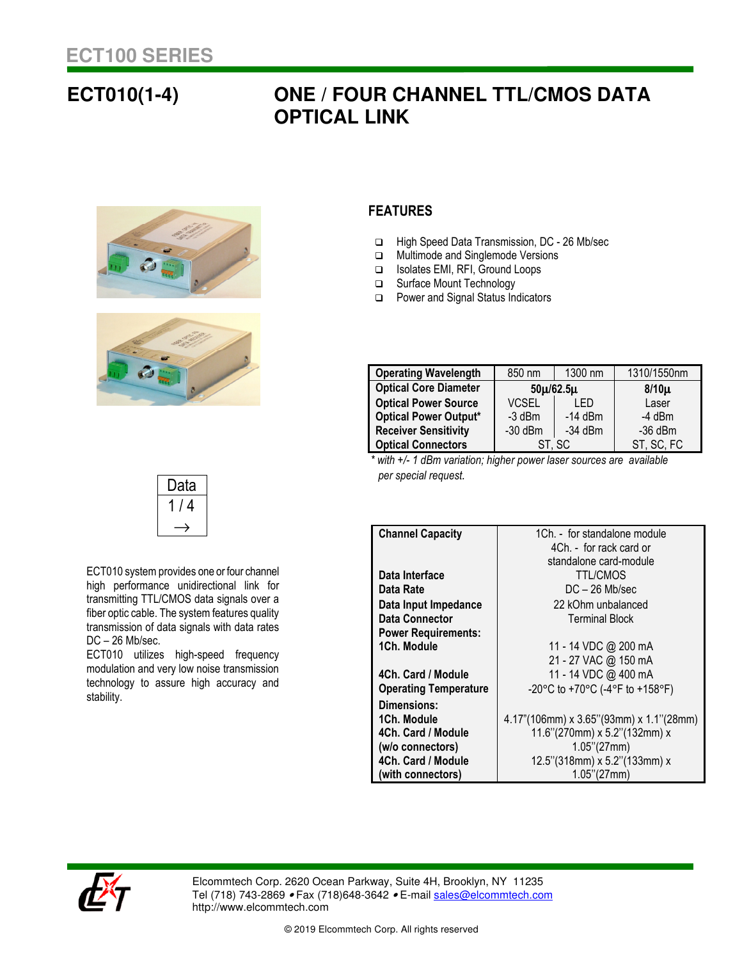## **ECT010(1-4) ONE / FOUR CHANNEL TTL/CMOS DATA OPTICAL LINK**





Data  $1/4$  $\rightarrow$ 

ECT010 system provides one or four channel high performance unidirectional link for transmitting TTL/CMOS data signals over a fiber optic cable. The system features quality transmission of data signals with data rates

ECT010 utilizes high-speed frequency modulation and very low noise transmission technology to assure high accuracy and

## **FEATURES**

- □ High Speed Data Transmission, DC 26 Mb/sec
- □ Multimode and Singlemode Versions
- Isolates EMI, RFI, Ground Loops
- □ Surface Mount Technology
- □ Power and Signal Status Indicators

| <b>Operating Wavelength</b>  | 850 nm          | 1300 nm   | 1310/1550nm |
|------------------------------|-----------------|-----------|-------------|
| <b>Optical Core Diameter</b> | $50\mu/62.5\mu$ |           | $8/10\mu$   |
| <b>Optical Power Source</b>  | <b>VCSEL</b>    | LED       | Laser       |
| <b>Optical Power Output*</b> | $-3$ dBm        | $-14$ dBm | $-4$ dBm    |
| <b>Receiver Sensitivity</b>  | $-30$ dBm       | $-34$ dBm | $-36$ dBm   |
| <b>Optical Connectors</b>    | ST. SC          |           | ST, SC, FC  |

 *\* with +/- 1 dBm variation; higher power laser sources are available per special request.* 

| <b>Channel Capacity</b>      | 1Ch. - for standalone module               |  |
|------------------------------|--------------------------------------------|--|
|                              | 4Ch. - for rack card or                    |  |
|                              | standalone card-module                     |  |
| Data Interface               | <b>TTL/CMOS</b>                            |  |
| Data Rate                    | $DC - 26$ Mb/sec                           |  |
| Data Input Impedance         | 22 kOhm unbalanced                         |  |
| Data Connector               | <b>Terminal Block</b>                      |  |
| <b>Power Requirements:</b>   |                                            |  |
| 1Ch. Module                  | 11 - 14 VDC @ 200 mA                       |  |
|                              | 21 - 27 VAC @ 150 mA                       |  |
| 4Ch. Card / Module           | 11 - 14 VDC @ 400 mA                       |  |
| <b>Operating Temperature</b> | -20°C to +70°C (-4°F to +158°F)            |  |
| Dimensions:                  |                                            |  |
| 1Ch. Module                  | $4.17$ "(106mm) x 3.65"(93mm) x 1.1"(28mm) |  |
| 4Ch. Card / Module           | 11.6"(270mm) x 5.2"(132mm) x               |  |
| (w/o connectors)             | 1.05''(27mm)                               |  |
| 4Ch. Card / Module           | 12.5"(318mm) x 5.2"(133mm) x               |  |
| (with connectors)            | $1.05$ "(27mm)                             |  |



DC – 26 Mb/sec.

stability.

Elcommtech Corp. 2620 Ocean Parkway, Suite 4H, Brooklyn, NY 11235 Tel (718) 743-2869 • Fax (718)648-3642 • E-mail sales@elcommtech.com http://www.elcommtech.com